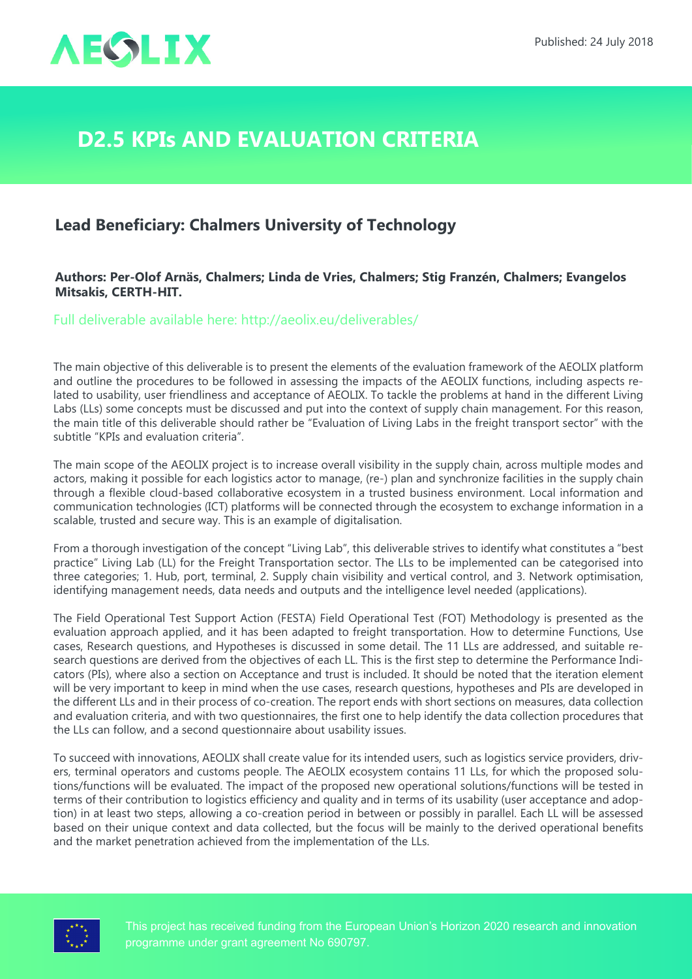

## **D2.5 KPIs and Evaluation Criteria**

## **Lead Beneficiary: Chalmers University of Technology**

## **Authors: Per-Olof Arnäs, Chalmers; Linda de Vries, Chalmers; Stig Franzén, Chalmers; Evangelos Mitsakis, CERTH-HIT.**

Full deliverable available here: <http://aeolix.eu/deliverables/>

The main objective of this deliverable is to present the elements of the evaluation framework of the AEOLIX platform and outline the procedures to be followed in assessing the impacts of the AEOLIX functions, including aspects related to usability, user friendliness and acceptance of AEOLIX. To tackle the problems at hand in the different Living Labs (LLs) some concepts must be discussed and put into the context of supply chain management. For this reason, the main title of this deliverable should rather be "Evaluation of Living Labs in the freight transport sector" with the subtitle "KPIs and evaluation criteria".

The main scope of the AEOLIX project is to increase overall visibility in the supply chain, across multiple modes and actors, making it possible for each logistics actor to manage, (re-) plan and synchronize facilities in the supply chain through a flexible cloud-based collaborative ecosystem in a trusted business environment. Local information and communication technologies (ICT) platforms will be connected through the ecosystem to exchange information in a scalable, trusted and secure way. This is an example of digitalisation.

From a thorough investigation of the concept "Living Lab", this deliverable strives to identify what constitutes a "best practice" Living Lab (LL) for the Freight Transportation sector. The LLs to be implemented can be categorised into three categories; 1. Hub, port, terminal, 2. Supply chain visibility and vertical control, and 3. Network optimisation, identifying management needs, data needs and outputs and the intelligence level needed (applications).

The Field Operational Test Support Action (FESTA) Field Operational Test (FOT) Methodology is presented as the evaluation approach applied, and it has been adapted to freight transportation. How to determine Functions, Use cases, Research questions, and Hypotheses is discussed in some detail. The 11 LLs are addressed, and suitable research questions are derived from the objectives of each LL. This is the first step to determine the Performance Indicators (PIs), where also a section on Acceptance and trust is included. It should be noted that the iteration element will be very important to keep in mind when the use cases, research questions, hypotheses and PIs are developed in the different LLs and in their process of co-creation. The report ends with short sections on measures, data collection and evaluation criteria, and with two questionnaires, the first one to help identify the data collection procedures that the LLs can follow, and a second questionnaire about usability issues.

To succeed with innovations, AEOLIX shall create value for its intended users, such as logistics service providers, drivers, terminal operators and customs people. The AEOLIX ecosystem contains 11 LLs, for which the proposed solutions/functions will be evaluated. The impact of the proposed new operational solutions/functions will be tested in terms of their contribution to logistics efficiency and quality and in terms of its usability (user acceptance and adoption) in at least two steps, allowing a co-creation period in between or possibly in parallel. Each LL will be assessed based on their unique context and data collected, but the focus will be mainly to the derived operational benefits and the market penetration achieved from the implementation of the LLs.